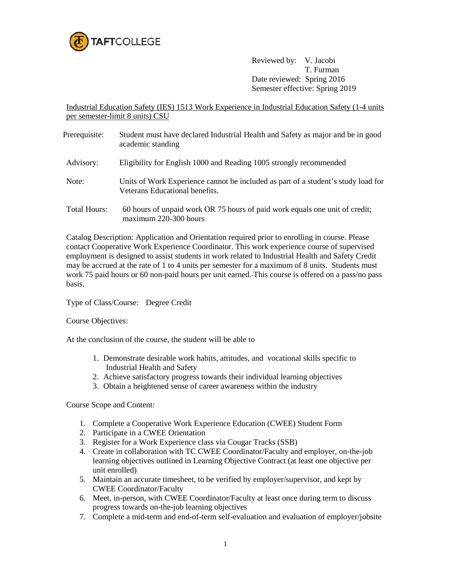

Reviewed by: V. Jacobi T. Furman Date reviewed: Spring 2016 Semester effective: Spring 2019

Industrial Education Safety (IES) 1513 Work Experience in Industrial Education Safety (1-4 units per semester-limit 8 units) CSU

Prerequisite: Student must have declared Industrial Health and Safety as major and be in good academic standing Advisory: Eligibility for English 1000 and Reading 1005 strongly recommended Note: Units of Work Experience cannot be included as part of a student's study load for Veterans Educational benefits. Total Hours: 60 hours of unpaid work OR 75 hours of paid work equals one unit of credit; maximum 220-300 hours

Catalog Description: Application and Orientation required prior to enrolling in course. Please contact Cooperative Work Experience Coordinator. This work experience course of supervised employment is designed to assist students in work related to Industrial Health and Safety Credit may be accrued at the rate of 1 to 4 units per semester for a maximum of 8 units. Students must work 75 paid hours or 60 non-paid hours per unit earned. This course is offered on a pass/no pass basis.

## Type of Class/Course: Degree Credit

## Course Objectives:

At the conclusion of the course, the student will be able to

- 1. Demonstrate desirable work habits, attitudes, and vocational skills specific to Industrial Health and Safety
- 2. Achieve satisfactory progress towards their individual learning objectives
- 3. Obtain a heightened sense of career awareness within the industry

Course Scope and Content:

- 1. Complete a Cooperative Work Experience Education (CWEE) Student Form
- 2. Participate in a CWEE Orientation
- 3. Register for a Work Experience class via Cougar Tracks (SSB)
- 4. Create in collaboration with TC CWEE Coordinator/Faculty and employer, on-the-job learning objectives outlined in Learning Objective Contract (at least one objective per unit enrolled)
- 5. Maintain an accurate timesheet, to be verified by employer/supervisor, and kept by CWEE Coordinator/Faculty
- 6. Meet, in-person, with CWEE Coordinator/Faculty at least once during term to discuss progress towards on-the-job learning objectives
- 7. Complete a mid-term and end-of-term self-evaluation and evaluation of employer/jobsite